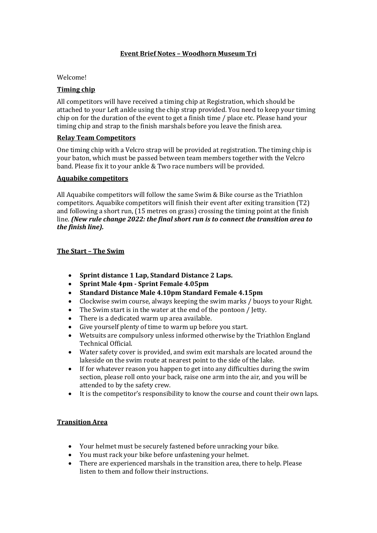## **Event Brief Notes – Woodhorn Museum Tri**

#### Welcome!

#### **Timing chip**

All competitors will have received a timing chip at Registration, which should be attached to your Left ankle using the chip strap provided. You need to keep your timing chip on for the duration of the event to get a finish time / place etc. Please hand your timing chip and strap to the finish marshals before you leave the finish area.

#### **Relay Team Competitors**

One timing chip with a Velcro strap will be provided at registration. The timing chip is your baton, which must be passed between team members together with the Velcro band. Please fix it to your ankle & Two race numbers will be provided.

#### **Aquabike competitors**

All Aquabike competitors will follow the same Swim & Bike course as the Triathlon competitors. Aquabike competitors will finish their event after exiting transition (T2) and following a short run, (15 metres on grass) crossing the timing point at the finish line. *(New rule change 2022: the final short run is to connect the transition area to the finish line).*

#### **The Start – The Swim**

- **Sprint distance 1 Lap, Standard Distance 2 Laps.**
- **Sprint Male 4pm - Sprint Female 4.05pm**
- **Standard Distance Male 4.10pm Standard Female 4.15pm**
- Clockwise swim course, always keeping the swim marks / buoys to your Right.
- The Swim start is in the water at the end of the pontoon / Jetty.
- There is a dedicated warm up area available.
- Give yourself plenty of time to warm up before you start.
- Wetsuits are compulsory unless informed otherwise by the Triathlon England Technical Official.
- Water safety cover is provided, and swim exit marshals are located around the lakeside on the swim route at nearest point to the side of the lake.
- If for whatever reason you happen to get into any difficulties during the swim section, please roll onto your back, raise one arm into the air, and you will be attended to by the safety crew.
- It is the competitor's responsibility to know the course and count their own laps.

## **Transition Area**

- Your helmet must be securely fastened before unracking your bike.
- You must rack your bike before unfastening your helmet.
- There are experienced marshals in the transition area, there to help. Please listen to them and follow their instructions.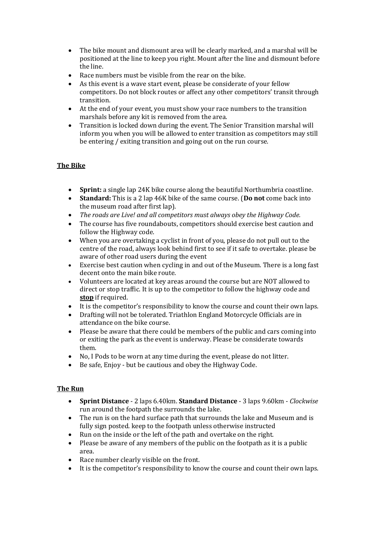- The bike mount and dismount area will be clearly marked, and a marshal will be positioned at the line to keep you right. Mount after the line and dismount before the line.
- Race numbers must be visible from the rear on the bike.
- As this event is a wave start event, please be considerate of your fellow competitors. Do not block routes or affect any other competitors' transit through transition.
- At the end of your event, you must show your race numbers to the transition marshals before any kit is removed from the area.
- Transition is locked down during the event. The Senior Transition marshal will inform you when you will be allowed to enter transition as competitors may still be entering / exiting transition and going out on the run course.

# **The Bike**

- **Sprint:** a single lap 24K bike course along the beautiful Northumbria coastline.
- **Standard:** This is a 2 lap 46K bike of the same course. (**Do not** come back into the museum road after first lap).
- *The roads are Live! and all competitors must always obey the Highway Code.*
- The course has five roundabouts, competitors should exercise best caution and follow the Highway code.
- When you are overtaking a cyclist in front of you, please do not pull out to the centre of the road, always look behind first to see if it safe to overtake. please be aware of other road users during the event
- Exercise best caution when cycling in and out of the Museum. There is a long fast decent onto the main bike route.
- Volunteers are located at key areas around the course but are NOT allowed to direct or stop traffic. It is up to the competitor to follow the highway code and **stop** if required.
- It is the competitor's responsibility to know the course and count their own laps.
- Drafting will not be tolerated. Triathlon England Motorcycle Officials are in attendance on the bike course.
- Please be aware that there could be members of the public and cars coming into or exiting the park as the event is underway. Please be considerate towards them.
- No, I Pods to be worn at any time during the event, please do not litter.
- Be safe, Enjoy but be cautious and obey the Highway Code.

## **The Run**

- **Sprint Distance** 2 laps 6.40km. **Standard Distance** 3 laps 9.60km *Clockwise* run around the footpath the surrounds the lake.
- The run is on the hard surface path that surrounds the lake and Museum and is fully sign posted. keep to the footpath unless otherwise instructed
- Run on the inside or the left of the path and overtake on the right.
- Please be aware of any members of the public on the footpath as it is a public area.
- Race number clearly visible on the front.
- It is the competitor's responsibility to know the course and count their own laps.